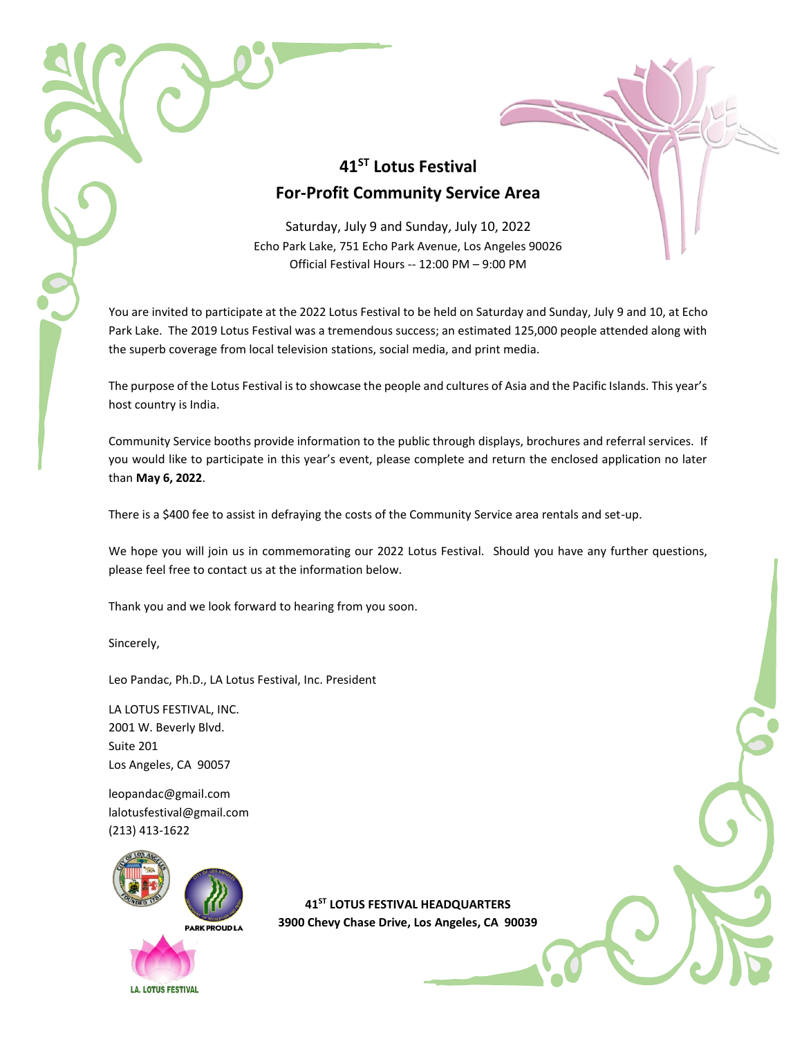## **41ST Lotus Festival For-Profit Community Service Area**

Saturday, July 9 and Sunday, July 10, 2022 Echo Park Lake, 751 Echo Park Avenue, Los Angeles 90026 Official Festival Hours -- 12:00 PM – 9:00 PM

You are invited to participate at the 2022 Lotus Festival to be held on Saturday and Sunday, July 9 and 10, at Echo Park Lake. The 2019 Lotus Festival was a tremendous success; an estimated 125,000 people attended along with the superb coverage from local television stations, social media, and print media.

The purpose of the Lotus Festival is to showcase the people and cultures of Asia and the Pacific Islands. This year's host country is India.

Community Service booths provide information to the public through displays, brochures and referral services. If you would like to participate in this year's event, please complete and return the enclosed application no later than **May 6, 2022**.

There is a \$400 fee to assist in defraying the costs of the Community Service area rentals and set-up.

We hope you will join us in commemorating our 2022 Lotus Festival. Should you have any further questions, please feel free to contact us at the information below.

Thank you and we look forward to hearing from you soon.

Sincerely,

Leo Pandac, Ph.D., LA Lotus Festival, Inc. President

LA LOTUS FESTIVAL, INC. 2001 W. Beverly Blvd. Suite 201 Los Angeles, CA 90057

[leopandac@gmail.com](mailto:leopandac@gmail.com) lalotusfestival@gmail.com (213) 413-1622



**41ST LOTUS FESTIVAL HEADQUARTERS 3900 Chevy Chase Drive, Los Angeles, CA 90039**